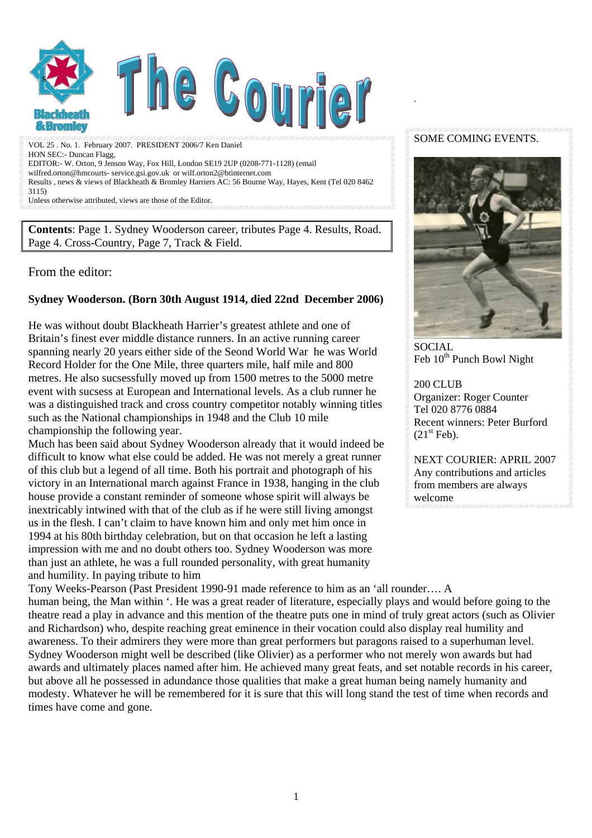

VOL 25 . No. 1. February 2007. PRESIDENT 2006/7 Ken Daniel HON SEC:- Duncan Flagg, EDITOR:- W. Orton, 9 Jenson Way, Fox Hill, London SE19 2UP (0208-771-1128) (email wilfred.orton@hmcourts- service.gsi.gov.uk or wilf.orton2@btinternet.com Results , news & views of Blackheath & Bromley Harriers AC: 56 Bourne Way, Hayes, Kent (Tel 020 8462 3115)

Unless otherwise attributed, views are those of the Editor.

**Contents**: Page 1. Sydney Wooderson career, tributes Page 4. Results, Road. Page 4. Cross-Country, Page 7, Track & Field.

#### From the editor:

#### **Sydney Wooderson. (Born 30th August 1914, died 22nd December 2006)**

He was without doubt Blackheath Harrier's greatest athlete and one of Britain's finest ever middle distance runners. In an active running career spanning nearly 20 years either side of the Seond World War he was World Record Holder for the One Mile, three quarters mile, half mile and 800 metres. He also sucsessfully moved up from 1500 metres to the 5000 metre event with sucsess at European and International levels. As a club runner he was a distinguished track and cross country competitor notably winning titles such as the National championships in 1948 and the Club 10 mile championship the following year.

Much has been said about Sydney Wooderson already that it would indeed be difficult to know what else could be added. He was not merely a great runner of this club but a legend of all time. Both his portrait and photograph of his victory in an International march against France in 1938, hanging in the club house provide a constant reminder of someone whose spirit will always be inextricably intwined with that of the club as if he were still living amongst us in the flesh. I can't claim to have known him and only met him once in 1994 at his 80th birthday celebration, but on that occasion he left a lasting impression with me and no doubt others too. Sydney Wooderson was more than just an athlete, he was a full rounded personality, with great humanity and humility. In paying tribute to him

SOME COMING EVENTS.

.



SOCIAL  $\text{Feb } 10^{\text{th}}$  Punch Bowl Night

200 CLUB Organizer: Roger Counter Tel 020 8776 0884 Recent winners: Peter Burford  $(21<sup>st</sup> Feb).$ 

NEXT COURIER: APRIL 2007 Any contributions and articles from members are always welcome

Tony Weeks-Pearson (Past President 1990-91 made reference to him as an 'all rounder…. A human being, the Man within '. He was a great reader of literature, especially plays and would before going to the theatre read a play in advance and this mention of the theatre puts one in mind of truly great actors (such as Olivier and Richardson) who, despite reaching great eminence in their vocation could also display real humility and awareness. To their admirers they were more than great performers but paragons raised to a superhuman level. Sydney Wooderson might well be described (like Olivier) as a performer who not merely won awards but had awards and ultimately places named after him. He achieved many great feats, and set notable records in his career, but above all he possessed in adundance those qualities that make a great human being namely humanity and modesty. Whatever he will be remembered for it is sure that this will long stand the test of time when records and times have come and gone.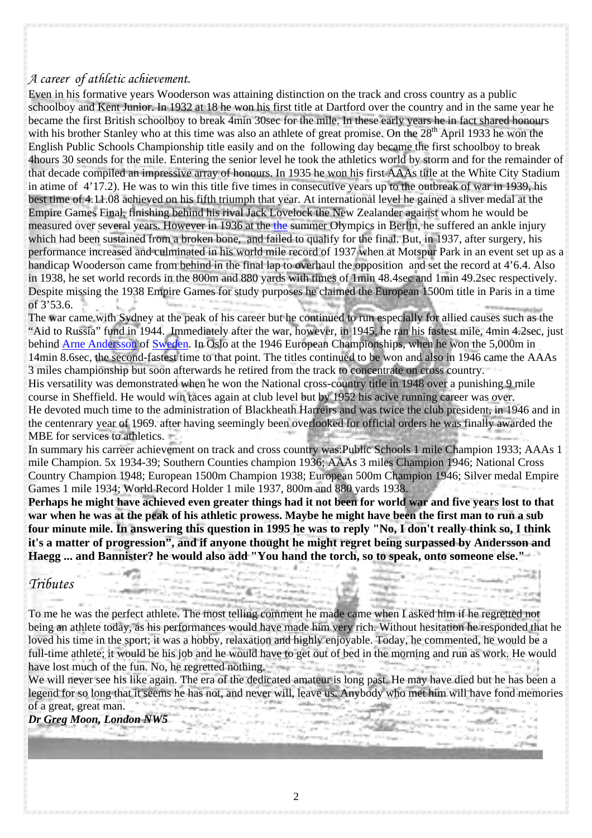## *A career of athletic achievement.*

Even in his formative years Wooderson was attaining distinction on the track and cross country as a public schoolboy and Kent Junior. In 1932 at 18 he won his first title at Dartford over the country and in the same year he became the first British schoolboy to break 4min 30sec for the mile. In these early years he in fact shared honours with his brother Stanley who at this time was also an athlete of great promise. On the 28<sup>th</sup> April 1933 he won the English Public Schools Championship title easily and on the following day became the first schoolboy to break 4hours 30 seonds for the mile. Entering the senior level he took the athletics world by storm and for the remainder of that decade compiled an impressive array of honours. In 1935 he won his first AAAs title at the White City Stadium in atime of 4'17.2). He was to win this title five times in consecutive years up to the outbreak of war in 1939, his best time of 4.11.08 achieved on his fifth triumph that year. At international level he gained a sliver medal at the Empire Games Final, finishing behind his rival Jack Lovelock the New Zealander against whom he would be measured over several years. However in 1936 at [the](http://en.wikipedia.org/wiki/1936_Summer_Olympics) the summer Olympics in Berlin, he suffered an ankle injury which had been sustained from a broken bone, and failed to qualify for the final. But, in 1937, after surgery, his performance increased and culminated in his world mile record of 1937 when at Motspur Park in an event set up as a handicap Wooderson came from behind in the final lap to overhaul the opposition and set the record at 4'6.4. Also in 1938, he set world records in the 800m and 880 yards with times of 1min 48.4sec and 1min 49.2sec respectively. Despite missing the 1938 Empire Games for study purposes he claimed the European 1500m title in Paris in a time of 3'53.6.

The war came with Sydney at the peak of his career but he continued to run especially for allied causes such as the "Aid to Russia" fund in 1944. Immediately after the war, however, in 1945, he ran his fastest mile, 4min 4.2sec, just behind [Arne Andersson](http://en.wikipedia.org/wiki/Arne_Andersson) of [Sweden](http://en.wikipedia.org/wiki/Sweden). In Oslo at the 1946 European Championships, when he won the 5,000m in 14min 8.6sec, the second-fastest time to that point. The titles continued to be won and also in 1946 came the AAAs 3 miles championship but soon afterwards he retired from the track to concentrate on cross country. His versatility was demonstrated when he won the National cross-country title in 1948 over a punishing 9 mile course in Sheffield. He would win races again at club level but by 1952 his acive running career was over. He devoted much time to the administration of Blackheath Harreirs and was twice the club president, in 1946 and in the centenrary year of 1969. after having seemingly been overlooked for official orders he was finally awarded the MBE for services to athletics.

In summary his carreer achievement on track and cross country was:Public Schools 1 mile Champion 1933; AAAs 1 mile Champion. 5x 1934-39; Southern Counties champion 1936; AAAs 3 miles Champion 1946; National Cross Country Champion 1948; European 1500m Champion 1938; European 500m Champion 1946; Silver medal Empire Games 1 mile 1934; World Record Holder 1 mile 1937, 800m and 880 yards 1938.

**Perhaps he might have achieved even greater things had it not been for world war and five years lost to that war when he was at the peak of his athletic prowess. Maybe he might have been the first man to run a sub four minute mile. In answering this question in 1995 he was to reply "No, I don't really think so, I think it's a matter of progression", and if anyone thought he might regret being surpassed by Andersson and Haegg ... and Bannister? he would also add "You hand the torch, so to speak, onto someone else."**

## *Tributes*

To me he was the perfect athlete. The most telling comment he made came when I asked him if he regretted not being an athlete today, as his performances would have made him very rich. Without hesitation he responded that he loved his time in the sport; it was a hobby, relaxation and highly enjoyable. Today, he commented, he would be a full-time athlete; it would be his job and he would have to get out of bed in the morning and run as work. He would have lost much of the fun. No, he regretted nothing. sir-

We will never see his like again. The era of the dedicated amateur is long past. He may have died but he has been a legend for so long that it seems he has not, and never will, leave us. Anybody who met him will have fond memories of a great, great man.

*Dr Greg Moon, London NW5*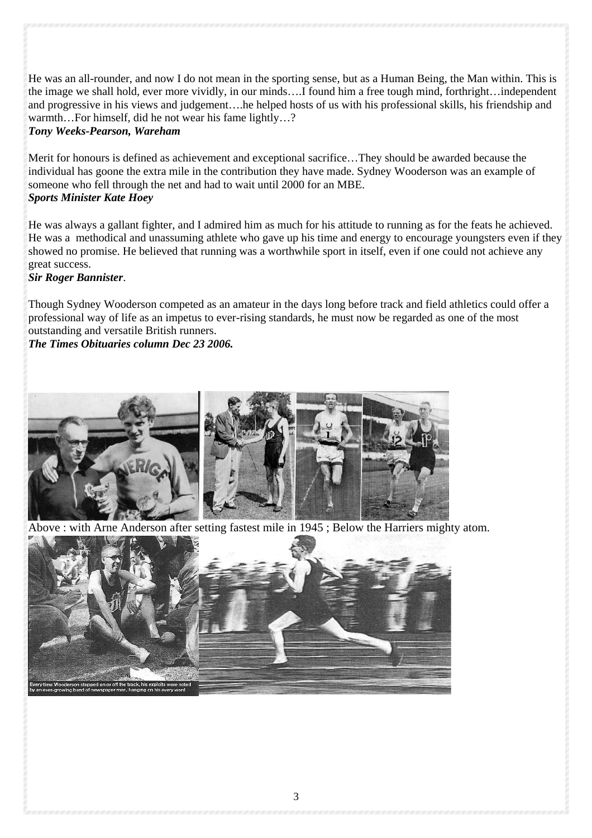He was an all-rounder, and now I do not mean in the sporting sense, but as a Human Being, the Man within. This is the image we shall hold, ever more vividly, in our minds….I found him a free tough mind, forthright…independent and progressive in his views and judgement….he helped hosts of us with his professional skills, his friendship and warmth...For himself, did he not wear his fame lightly...?

#### *Tony Weeks-Pearson, Wareham*

Merit for honours is defined as achievement and exceptional sacrifice…They should be awarded because the individual has goone the extra mile in the contribution they have made. Sydney Wooderson was an example of someone who fell through the net and had to wait until 2000 for an MBE. *Sports Minister Kate Hoey*

He was always a gallant fighter, and I admired him as much for his attitude to running as for the feats he achieved. He was a methodical and unassuming athlete who gave up his time and energy to encourage youngsters even if they showed no promise. He believed that running was a worthwhile sport in itself, even if one could not achieve any great success.

### *Sir Roger Bannister*.

Though Sydney Wooderson competed as an amateur in the days long before track and field athletics could offer a professional way of life as an impetus to ever-rising standards, he must now be regarded as one of the most outstanding and versatile British runners.

*The Times Obituaries column Dec 23 2006.* 



Above : with Arne Anderson after setting fastest mile in 1945 ; Below the Harriers mighty atom.

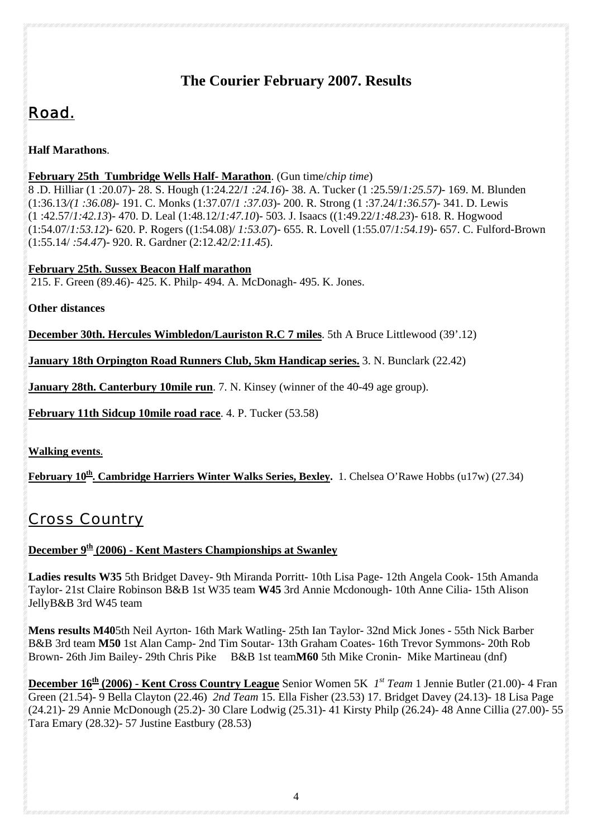## **The Courier February 2007. Results**

# *Road.*

**Half Marathons**.

## **February 25th Tumbridge Wells Half- Marathon**. (Gun time/*chip time*)

8 .D. Hilliar (1 :20.07)- 28. S. Hough (1:24.22/*1 :24.16*)- 38. A. Tucker (1 :25.59/*1:25.57)*- 169. M. Blunden (1:36.13*/(1 :36.08)-* 191. C. Monks (1:37.07/*1 :37.03*)- 200. R. Strong (1 :37.24/*1:36.57*)- 341. D. Lewis (1 :42.57/*1:42.13*)- 470. D. Leal (1:48.12/*1:47.10*)- 503. J. Isaacs ((1:49.22/*1:48.23*)- 618. R. Hogwood (1:54.07/*1:53.12*)- 620. P. Rogers ((1:54.08)/ *1:53.07*)- 655. R. Lovell (1:55.07/*1:54.19*)- 657. C. Fulford-Brown (1:55.14/ *:54.47*)- 920. R. Gardner (2:12.42/*2:11.45*).

**February 25th. Sussex Beacon Half marathon**

215. F. Green (89.46)- 425. K. Philp- 494. A. McDonagh- 495. K. Jones.

**Other distances** 

**December 30th. Hercules Wimbledon/Lauriston R.C 7 miles**. 5th A Bruce Littlewood (39'.12)

**January 18th Orpington Road Runners Club, 5km Handicap series.** 3. N. Bunclark (22.42)

**January 28th. Canterbury 10mile run**. 7. N. Kinsey (winner of the 40-49 age group).

**February 11th Sidcup 10mile road race**. 4. P. Tucker (53.58)

**Walking events**.

**February 10<sup>th</sup>. Cambridge Harriers Winter Walks Series, Bexley.** 1. Chelsea O'Rawe Hobbs (u17w) (27.34)

# *Cross Country*

## December 9<sup>th</sup> (2006) - Kent Masters Championships at Swanley

**Ladies results W35** 5th Bridget Davey- 9th Miranda Porritt- 10th Lisa Page- 12th Angela Cook- 15th Amanda Taylor- 21st Claire Robinson B&B 1st W35 team **W45** 3rd Annie Mcdonough- 10th Anne Cilia- 15th Alison JellyB&B 3rd W45 team

**Mens results M40**5th Neil Ayrton- 16th Mark Watling- 25th Ian Taylor- 32nd Mick Jones - 55th Nick Barber B&B 3rd team **M50** 1st Alan Camp- 2nd Tim Soutar- 13th Graham Coates- 16th Trevor Symmons- 20th Rob Brown- 26th Jim Bailey- 29th Chris Pike B&B 1st team**M60** 5th Mike Cronin- Mike Martineau (dnf)

**December 16th (2006) - Kent Cross Country League** Senior Women 5K *1st Team* 1 Jennie Butler (21.00)- 4 Fran Green (21.54)- 9 Bella Clayton (22.46) *2nd Team* 15. Ella Fisher (23.53) 17. Bridget Davey (24.13)- 18 Lisa Page (24.21)- 29 Annie McDonough (25.2)- 30 Clare Lodwig (25.31)- 41 Kirsty Philp (26.24)- 48 Anne Cillia (27.00)- 55 Tara Emary (28.32)- 57 Justine Eastbury (28.53)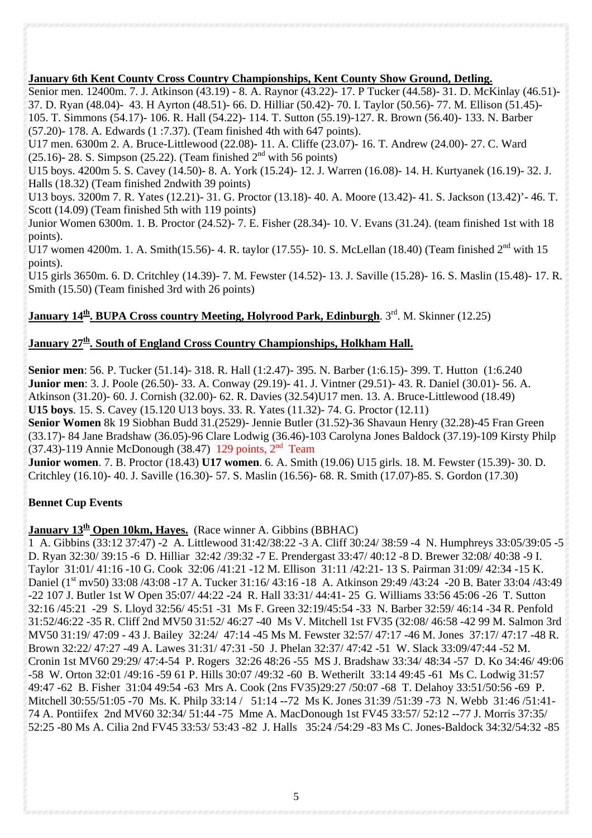## **January 6th Kent County Cross Country Championships, Kent County Show Ground, Detling.**

Senior men. 12400m. 7. J. Atkinson (43.19) - 8. A. Raynor (43.22)- 17. P Tucker (44.58)- 31. D. McKinlay (46.51)- 37. D. Ryan (48.04)- 43. H Ayrton (48.51)- 66. D. Hilliar (50.42)- 70. I. Taylor (50.56)- 77. M. Ellison (51.45)- 105. T. Simmons (54.17)- 106. R. Hall (54.22)- 114. T. Sutton (55.19)-127. R. Brown (56.40)- 133. N. Barber (57.20)- 178. A. Edwards (1 :7.37). (Team finished 4th with 647 points).

U17 men. 6300m 2. A. Bruce-Littlewood (22.08)- 11. A. Cliffe (23.07)- 16. T. Andrew (24.00)- 27. C. Ward (25.16)- 28. S. Simpson (25.22). (Team finished  $2<sup>nd</sup>$  with 56 points)

U15 boys. 4200m 5. S. Cavey (14.50)- 8. A. York (15.24)- 12. J. Warren (16.08)- 14. H. Kurtyanek (16.19)- 32. J. Halls (18.32) (Team finished 2ndwith 39 points)

U13 boys. 3200m 7. R. Yates (12.21)- 31. G. Proctor (13.18)- 40. A. Moore (13.42)- 41. S. Jackson (13.42)'- 46. T. Scott (14.09) (Team finished 5th with 119 points)

Junior Women 6300m. 1. B. Proctor (24.52)- 7. E. Fisher (28.34)- 10. V. Evans (31.24). (team finished 1st with 18 points).

U17 women 4200m. 1. A. Smith(15.56)- 4. R. taylor (17.55)- 10. S. McLellan (18.40) (Team finished  $2^{nd}$  with 15 points).

U15 girls 3650m. 6. D. Critchley (14.39)- 7. M. Fewster (14.52)- 13. J. Saville (15.28)- 16. S. Maslin (15.48)- 17. R. Smith (15.50) (Team finished 3rd with 26 points)

## **January 14<sup>th</sup>, BUPA Cross country Meeting, Holyrood Park, Edinburgh**. 3<sup>rd</sup>. M. Skinner (12.25)

### **January 27<sup>th</sup>. South of England Cross Country Championships, Holkham Hall.**

**Senior men**: 56. P. Tucker (51.14)- 318. R. Hall (1:2.47)- 395. N. Barber (1:6.15)- 399. T. Hutton (1:6.240 **Junior men**: 3. J. Poole (26.50)- 33. A. Conway (29.19)- 41. J. Vintner (29.51)- 43. R. Daniel (30.01)- 56. A. Atkinson (31.20)- 60. J. Cornish (32.00)- 62. R. Davies (32.54)U17 men. 13. A. Bruce-Littlewood (18.49) **U15 boys**. 15. S. Cavey (15.120 U13 boys. 33. R. Yates (11.32)- 74. G. Proctor (12.11)

**Senior Women** 8k 19 Siobhan Budd 31.(2529)- Jennie Butler (31.52)-36 Shavaun Henry (32.28)-45 Fran Green (33.17)- 84 Jane Bradshaw (36.05)-96 Clare Lodwig (36.46)-103 Carolyna Jones Baldock (37.19)-109 Kirsty Philp (37.43)-119 Annie McDonough (38.47) 129 points,  $2<sup>nd</sup>$  Team

**Junior women**. 7. B. Proctor (18.43) **U17 women**. 6. A. Smith (19.06) U15 girls. 18. M. Fewster (15.39)- 30. D. Critchley (16.10)- 40. J. Saville (16.30)- 57. S. Maslin (16.56)- 68. R. Smith (17.07)-85. S. Gordon (17.30)

### **Bennet Cup Events**

## **January 13<sup>th</sup> Open 10km, Hayes.** (Race winner A. Gibbins (BBHAC)

1 A. Gibbins (33:12 37:47) -2 A. Littlewood 31:42/38:22 -3 A. Cliff 30:24/ 38:59 -4 N. Humphreys 33:05/39:05 -5 D. Ryan 32:30/ 39:15 -6 D. Hilliar 32:42 /39:32 -7 E. Prendergast 33:47/ 40:12 -8 D. Brewer 32:08/ 40:38 -9 I. Taylor 31:01/ 41:16 -10 G. Cook 32:06 /41:21 -12 M. Ellison 31:11 /42:21- 13 S. Pairman 31:09/ 42:34 -15 K. Daniel (1<sup>st</sup> mv50) 33:08 /43:08 -17 A. Tucker 31:16/ 43:16 -18 A. Atkinson 29:49 /43:24 -20 B. Bater 33:04 /43:49 -22 107 J. Butler 1st W Open 35:07/ 44:22 -24 R. Hall 33:31/ 44:41- 25 G. Williams 33:56 45:06 -26 T. Sutton 32:16 /45:21 -29 S. Lloyd 32:56/ 45:51 -31 Ms F. Green 32:19/45:54 -33 N. Barber 32:59/ 46:14 -34 R. Penfold 31:52/46:22 -35 R. Cliff 2nd MV50 31:52/ 46:27 -40 Ms V. Mitchell 1st FV35 (32:08/ 46:58 -42 99 M. Salmon 3rd MV50 31:19/ 47:09 - 43 J. Bailey 32:24/ 47:14 -45 Ms M. Fewster 32:57/ 47:17 -46 M. Jones 37:17/ 47:17 -48 R. Brown 32:22/ 47:27 -49 A. Lawes 31:31/ 47:31 -50 J. Phelan 32:37/ 47:42 -51 W. Slack 33:09/47:44 -52 M. Cronin 1st MV60 29:29/ 47:4-54 P. Rogers 32:26 48:26 -55 MS J. Bradshaw 33:34/ 48:34 -57 D. Ko 34:46/ 49:06 -58 W. Orton 32:01 /49:16 -59 61 P. Hills 30:07 /49:32 -60 B. Wetherilt 33:14 49:45 -61 Ms C. Lodwig 31:57 49:47 -62 B. Fisher 31:04 49:54 -63 Mrs A. Cook (2ns FV35)29:27 /50:07 -68 T. Delahoy 33:51/50:56 -69 P. Mitchell 30:55/51:05 -70 Ms. K. Philp 33:14 / 51:14 --72 Ms K. Jones 31:39 /51:39 -73 N. Webb 31:46 /51:41-74 A. Pontiifex 2nd MV60 32:34/ 51:44 -75 Mme A. MacDonough 1st FV45 33:57/ 52:12 --77 J. Morris 37:35/ 52:25 -80 Ms A. Cilia 2nd FV45 33:53/ 53:43 -82 J. Halls 35:24 /54:29 -83 Ms C. Jones-Baldock 34:32/54:32 -85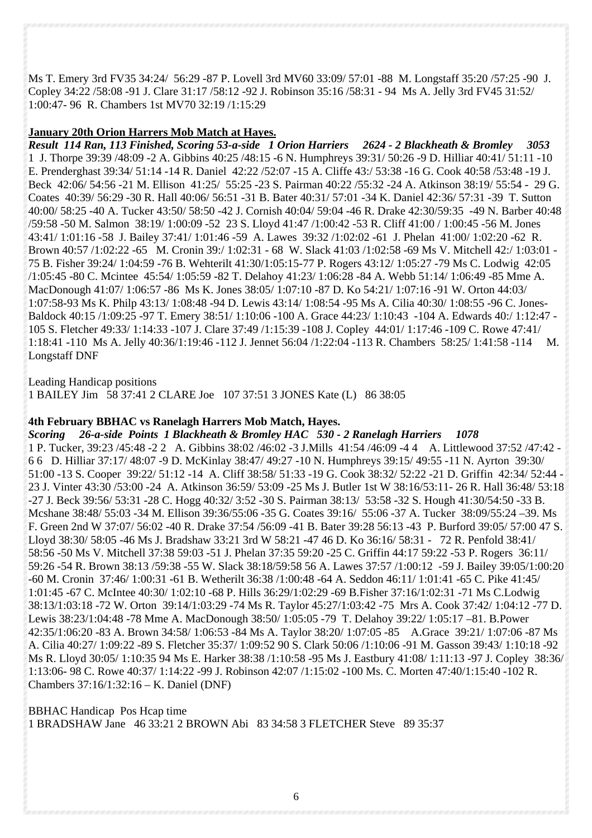Ms T. Emery 3rd FV35 34:24/ 56:29 -87 P. Lovell 3rd MV60 33:09/ 57:01 -88 M. Longstaff 35:20 /57:25 -90 J. Copley 34:22 /58:08 -91 J. Clare 31:17 /58:12 -92 J. Robinson 35:16 /58:31 - 94 Ms A. Jelly 3rd FV45 31:52/ 1:00:47- 96 R. Chambers 1st MV70 32:19 /1:15:29

#### **January 20th Orion Harrers Mob Match at Hayes.**

*Result 114 Ran, 113 Finished, Scoring 53-a-side 1 Orion Harriers 2624 - 2 Blackheath & Bromley 3053*  1 J. Thorpe 39:39 /48:09 -2 A. Gibbins 40:25 /48:15 -6 N. Humphreys 39:31/ 50:26 -9 D. Hilliar 40:41/ 51:11 -10 E. Prenderghast 39:34/ 51:14 -14 R. Daniel 42:22 /52:07 -15 A. Cliffe 43:/ 53:38 -16 G. Cook 40:58 /53:48 -19 J. Beck 42:06/ 54:56 -21 M. Ellison 41:25/ 55:25 -23 S. Pairman 40:22 /55:32 -24 A. Atkinson 38:19/ 55:54 - 29 G. Coates 40:39/ 56:29 -30 R. Hall 40:06/ 56:51 -31 B. Bater 40:31/ 57:01 -34 K. Daniel 42:36/ 57:31 -39 T. Sutton 40:00/ 58:25 -40 A. Tucker 43:50/ 58:50 -42 J. Cornish 40:04/ 59:04 -46 R. Drake 42:30/59:35 -49 N. Barber 40:48 /59:58 -50 M. Salmon 38:19/ 1:00:09 -52 23 S. Lloyd 41:47 /1:00:42 -53 R. Cliff 41:00 / 1:00:45 -56 M. Jones 43:41/ 1:01:16 -58 J. Bailey 37:41/ 1:01:46 -59 A. Lawes 39:32 /1:02:02 -61 J. Phelan 41:00/ 1:02:20 -62 R. Brown 40:57 /1:02:22 -65 M. Cronin 39:/ 1:02:31 - 68 W. Slack 41:03 /1:02:58 -69 Ms V. Mitchell 42:/ 1:03:01 - 75 B. Fisher 39:24/ 1:04:59 -76 B. Wehterilt 41:30/1:05:15-77 P. Rogers 43:12/ 1:05:27 -79 Ms C. Lodwig 42:05 /1:05:45 -80 C. Mcintee 45:54/ 1:05:59 -82 T. Delahoy 41:23/ 1:06:28 -84 A. Webb 51:14/ 1:06:49 -85 Mme A. MacDonough 41:07/ 1:06:57 -86 Ms K. Jones 38:05/ 1:07:10 -87 D. Ko 54:21/ 1:07:16 -91 W. Orton 44:03/ 1:07:58-93 Ms K. Philp 43:13/ 1:08:48 -94 D. Lewis 43:14/ 1:08:54 -95 Ms A. Cilia 40:30/ 1:08:55 -96 C. Jones-Baldock 40:15 /1:09:25 -97 T. Emery 38:51/ 1:10:06 -100 A. Grace 44:23/ 1:10:43 -104 A. Edwards 40:/ 1:12:47 - 105 S. Fletcher 49:33/ 1:14:33 -107 J. Clare 37:49 /1:15:39 -108 J. Copley 44:01/ 1:17:46 -109 C. Rowe 47:41/ 1:18:41 -110 Ms A. Jelly 40:36/1:19:46 -112 J. Jennet 56:04 /1:22:04 -113 R. Chambers 58:25/ 1:41:58 -114 M. Longstaff DNF

Leading Handicap positions

1 BAILEY Jim 58 37:41 2 CLARE Joe 107 37:51 3 JONES Kate (L) 86 38:05

#### **4th February BBHAC vs Ranelagh Harrers Mob Match, Hayes.**

*Scoring 26-a-side Points 1 Blackheath & Bromley HAC 530 - 2 Ranelagh Harriers 1078*  1 P. Tucker, 39:23 /45:48 -2 2 A. Gibbins 38:02 /46:02 -3 J.Mills 41:54 /46:09 -4 4 A. Littlewood 37:52 /47:42 - 6 6 D. Hilliar 37:17/ 48:07 -9 D. McKinlay 38:47/ 49:27 -10 N. Humphreys 39:15/ 49:55 -11 N. Ayrton 39:30/ 51:00 -13 S. Cooper 39:22/ 51:12 -14 A. Cliff 38:58/ 51:33 -19 G. Cook 38:32/ 52:22 -21 D. Griffin 42:34/ 52:44 - 23 J. Vinter 43:30 /53:00 -24 A. Atkinson 36:59/ 53:09 -25 Ms J. Butler 1st W 38:16/53:11- 26 R. Hall 36:48/ 53:18 -27 J. Beck 39:56/ 53:31 -28 C. Hogg 40:32/ 3:52 -30 S. Pairman 38:13/ 53:58 -32 S. Hough 41:30/54:50 -33 B. Mcshane 38:48/ 55:03 -34 M. Ellison 39:36/55:06 -35 G. Coates 39:16/ 55:06 -37 A. Tucker 38:09/55:24 –39. Ms F. Green 2nd W 37:07/ 56:02 -40 R. Drake 37:54 /56:09 -41 B. Bater 39:28 56:13 -43 P. Burford 39:05/ 57:00 47 S. Lloyd 38:30/ 58:05 -46 Ms J. Bradshaw 33:21 3rd W 58:21 -47 46 D. Ko 36:16/ 58:31 - 72 R. Penfold 38:41/ 58:56 -50 Ms V. Mitchell 37:38 59:03 -51 J. Phelan 37:35 59:20 -25 C. Griffin 44:17 59:22 -53 P. Rogers 36:11/ 59:26 -54 R. Brown 38:13 /59:38 -55 W. Slack 38:18/59:58 56 A. Lawes 37:57 /1:00:12 -59 J. Bailey 39:05/1:00:20 -60 M. Cronin 37:46/ 1:00:31 -61 B. Wetherilt 36:38 /1:00:48 -64 A. Seddon 46:11/ 1:01:41 -65 C. Pike 41:45/ 1:01:45 -67 C. McIntee 40:30/ 1:02:10 -68 P. Hills 36:29/1:02:29 -69 B.Fisher 37:16/1:02:31 -71 Ms C.Lodwig 38:13/1:03:18 -72 W. Orton 39:14/1:03:29 -74 Ms R. Taylor 45:27/1:03:42 -75 Mrs A. Cook 37:42/ 1:04:12 -77 D. Lewis 38:23/1:04:48 -78 Mme A. MacDonough 38:50/ 1:05:05 -79 T. Delahoy 39:22/ 1:05:17 –81. B.Power 42:35/1:06:20 -83 A. Brown 34:58/ 1:06:53 -84 Ms A. Taylor 38:20/ 1:07:05 -85 A.Grace 39:21/ 1:07:06 -87 Ms A. Cilia 40:27/ 1:09:22 -89 S. Fletcher 35:37/ 1:09:52 90 S. Clark 50:06 /1:10:06 -91 M. Gasson 39:43/ 1:10:18 -92 Ms R. Lloyd 30:05/ 1:10:35 94 Ms E. Harker 38:38 /1:10:58 -95 Ms J. Eastbury 41:08/ 1:11:13 -97 J. Copley 38:36/ 1:13:06- 98 C. Rowe 40:37/ 1:14:22 -99 J. Robinson 42:07 /1:15:02 -100 Ms. C. Morten 47:40/1:15:40 -102 R. Chambers 37:16/1:32:16 – K. Daniel (DNF)

BBHAC Handicap Pos Hcap time 1 BRADSHAW Jane 46 33:21 2 BROWN Abi 83 34:58 3 FLETCHER Steve 89 35:37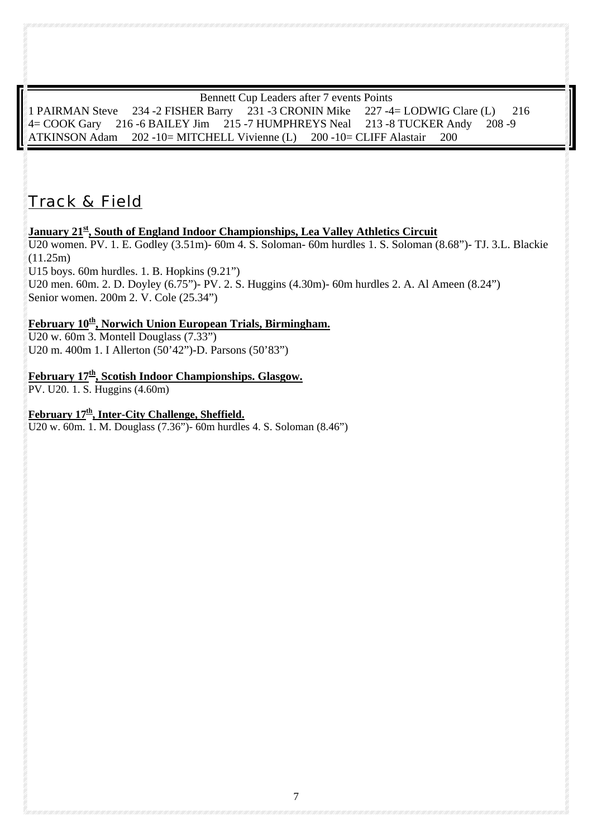#### Bennett Cup Leaders after 7 events Points

1 PAIRMAN Steve 234 -2 FISHER Barry 231 -3 CRONIN Mike 227 -4= LODWIG Clare (L) 216 4= COOK Gary 216 -6 BAILEY Jim 215 -7 HUMPHREYS Neal 213 -8 TUCKER Andy 208 -9 ATKINSON Adam 202 -10= MITCHELL Vivienne (L) 200 -10= CLIFF Alastair 200

## *Track & Field*

### January 21<sup>st</sup>, South of England Indoor Championships, Lea Valley Athletics Circuit

U20 women. PV. 1. E. Godley (3.51m)- 60m 4. S. Soloman- 60m hurdles 1. S. Soloman (8.68")- TJ. 3.L. Blackie  $(11.25m)$ 

U15 boys. 60m hurdles. 1. B. Hopkins (9.21")

U20 men. 60m. 2. D. Doyley (6.75")- PV. 2. S. Huggins (4.30m)- 60m hurdles 2. A. Al Ameen (8.24") Senior women. 200m 2. V. Cole (25.34")

## February 10<sup>th</sup>, Norwich Union European Trials, Birmingham.

U20 w. 60m 3. Montell Douglass (7.33") U20 m. 400m 1. I Allerton (50'42")-D. Parsons (50'83")

## February 17<sup>th</sup>, Scotish Indoor Championships. Glasgow.

PV. U20. 1. S. Huggins (4.60m)

February 17<sup>th</sup>, Inter-City Challenge, Sheffield.

U20 w. 60m. 1. M. Douglass (7.36")- 60m hurdles 4. S. Soloman (8.46")